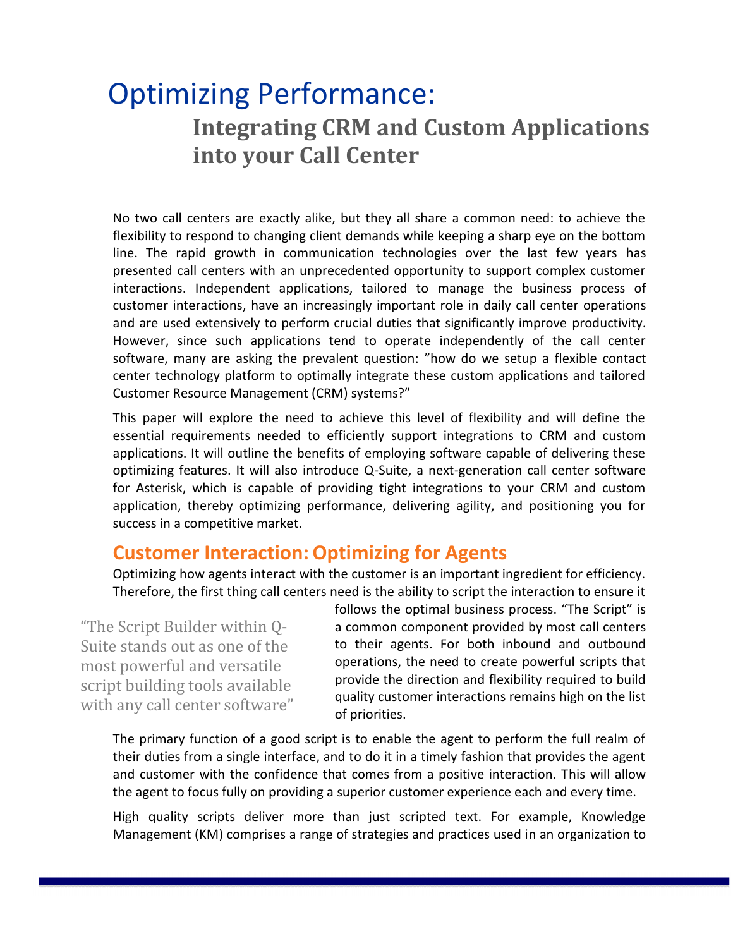# Optimizing Performance: **Integrating CRM and Custom Applications into your Call Center**

No two call centers are exactly alike, but they all share a common need: to achieve the flexibility to respond to changing client demands while keeping a sharp eye on the bottom line. The rapid growth in communication technologies over the last few years has presented call centers with an unprecedented opportunity to support complex customer interactions. Independent applications, tailored to manage the business process of customer interactions, have an increasingly important role in daily call center operations and are used extensively to perform crucial duties that significantly improve productivity. However, since such applications tend to operate independently of the call center software, many are asking the prevalent question: "how do we setup a flexible contact center technology platform to optimally integrate these custom applications and tailored Customer Resource Management (CRM) systems?"

This paper will explore the need to achieve this level of flexibility and will define the essential requirements needed to efficiently support integrations to CRM and custom applications. It will outline the benefits of employing software capable of delivering these optimizing features. It will also introduce Q-Suite, a next-generation call center software for Asterisk, which is capable of providing tight integrations to your CRM and custom application, thereby optimizing performance, delivering agility, and positioning you for success in a competitive market.

# **Customer Interaction:Optimizing for Agents**

Optimizing how agents interact with the customer is an important ingredient for efficiency. Therefore, the first thing call centers need is the ability to script the interaction to ensure it

"The Script Builder within Q-Suite stands out as one of the most powerful and versatile script building tools available with any call center software" follows the optimal business process. "The Script" is a common component provided by most call centers to their agents. For both inbound and outbound operations, the need to create powerful scripts that provide the direction and flexibility required to build quality customer interactions remains high on the list of priorities.

The primary function of a good script is to enable the agent to perform the full realm of their duties from a single interface, and to do it in a timely fashion that provides the agent and customer with the confidence that comes from a positive interaction. This will allow the agent to focus fully on providing a superior customer experience each and every time.

High quality scripts deliver more than just scripted text. For example, Knowledge Management (KM) comprises a range of strategies and practices used in an organization to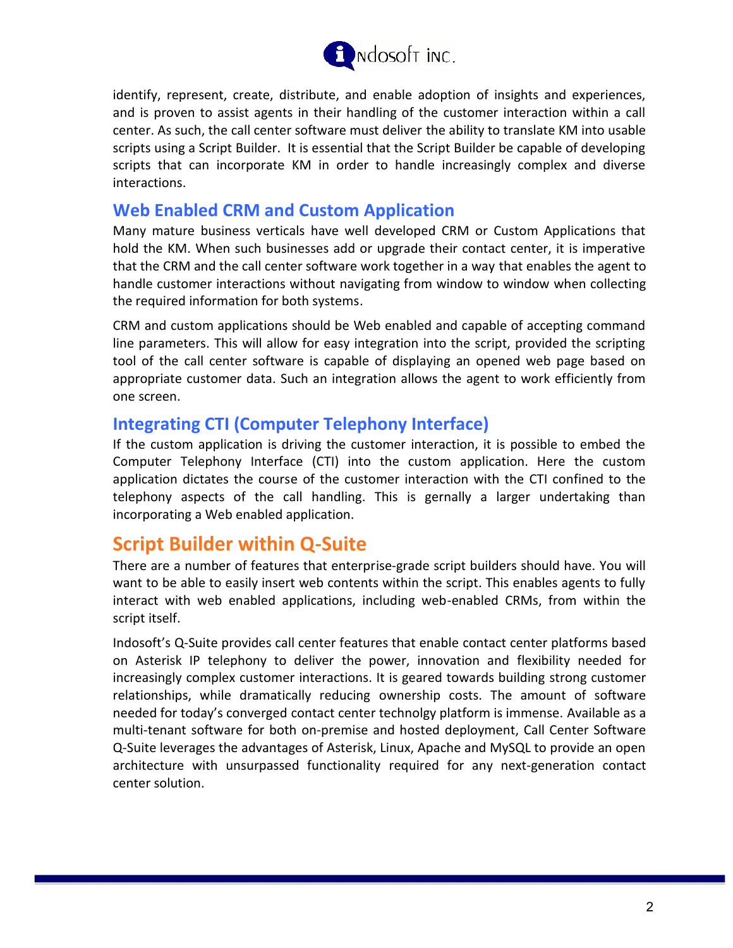

identify, represent, create, distribute, and enable adoption of insights and experiences, and is proven to assist agents in their handling of the customer interaction within a call center. As such, the call center software must deliver the ability to translate KM into usable scripts using a Script Builder. It is essential that the Script Builder be capable of developing scripts that can incorporate KM in order to handle increasingly complex and diverse interactions.

#### **Web Enabled CRM and Custom Application**

Many mature business verticals have well developed CRM or Custom Applications that hold the KM. When such businesses add or upgrade their contact center, it is imperative that the CRM and the call center software work together in a way that enables the agent to handle customer interactions without navigating from window to window when collecting the required information for both systems.

CRM and custom applications should be Web enabled and capable of accepting command line parameters. This will allow for easy integration into the script, provided the scripting tool of the call center software is capable of displaying an opened web page based on appropriate customer data. Such an integration allows the agent to work efficiently from one screen.

### **Integrating CTI (Computer Telephony Interface)**

If the custom application is driving the customer interaction, it is possible to embed the Computer Telephony Interface (CTI) into the custom application. Here the custom application dictates the course of the customer interaction with the CTI confined to the telephony aspects of the call handling. This is gernally a larger undertaking than incorporating a Web enabled application.

# **Script Builder within Q-Suite**

There are a number of features that enterprise-grade script builders should have. You will want to be able to easily insert web contents within the script. This enables agents to fully interact with web enabled applications, including web-enabled CRMs, from within the script itself.

Indosoft's Q-Suite provides call center features that enable contact center platforms based on Asterisk IP telephony to deliver the power, innovation and flexibility needed for increasingly complex customer interactions. It is geared towards building strong customer relationships, while dramatically reducing ownership costs. The amount of software needed for today's converged contact center technolgy platform is immense. Available as a multi-tenant software for both on-premise and hosted deployment, Call Center Software Q-Suite leverages the advantages of Asterisk, Linux, Apache and MySQL to provide an open architecture with unsurpassed functionality required for any next-generation contact center solution.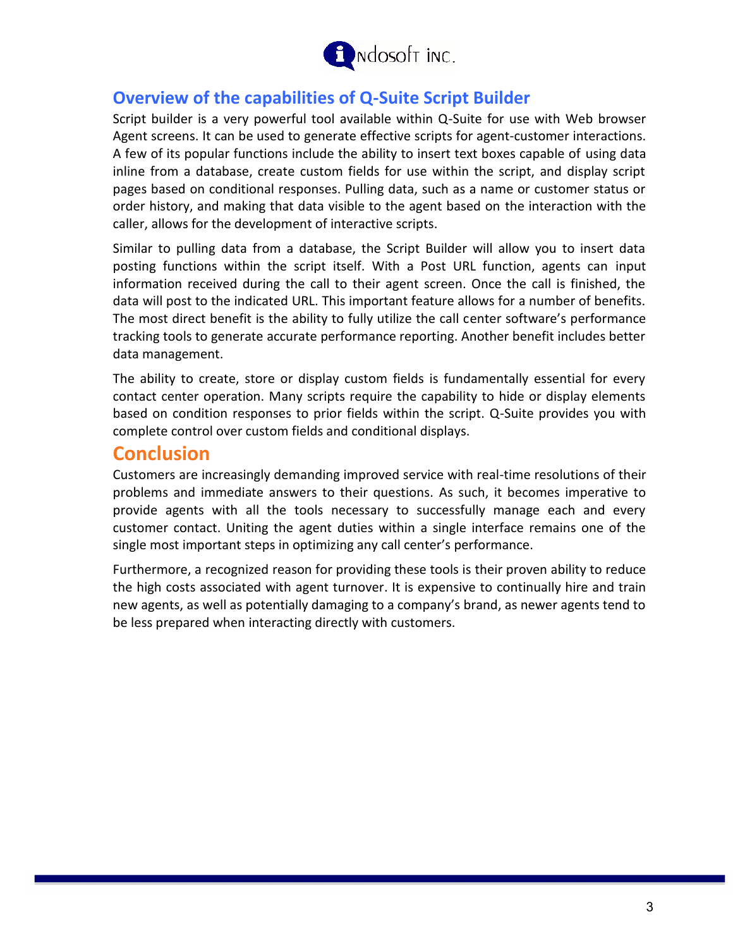

## **Overview of the capabilities of Q-Suite Script Builder**

Script builder is a very powerful tool available within Q-Suite for use with Web browser Agent screens. It can be used to generate effective scripts for agent-customer interactions. A few of its popular functions include the ability to insert text boxes capable of using data inline from a database, create custom fields for use within the script, and display script pages based on conditional responses. Pulling data, such as a name or customer status or order history, and making that data visible to the agent based on the interaction with the caller, allows for the development of interactive scripts.

Similar to pulling data from a database, the Script Builder will allow you to insert data posting functions within the script itself. With a Post URL function, agents can input information received during the call to their agent screen. Once the call is finished, the data will post to the indicated URL. This important feature allows for a number of benefits. The most direct benefit is the ability to fully utilize the call center software's performance tracking tools to generate accurate performance reporting. Another benefit includes better data management.

The ability to create, store or display custom fields is fundamentally essential for every contact center operation. Many scripts require the capability to hide or display elements based on condition responses to prior fields within the script. Q-Suite provides you with complete control over custom fields and conditional displays.

# **Conclusion**

Customers are increasingly demanding improved service with real-time resolutions of their problems and immediate answers to their questions. As such, it becomes imperative to provide agents with all the tools necessary to successfully manage each and every customer contact. Uniting the agent duties within a single interface remains one of the single most important steps in optimizing any call center's performance.

Furthermore, a recognized reason for providing these tools is their proven ability to reduce the high costs associated with agent turnover. It is expensive to continually hire and train new agents, as well as potentially damaging to a company's brand, as newer agents tend to be less prepared when interacting directly with customers.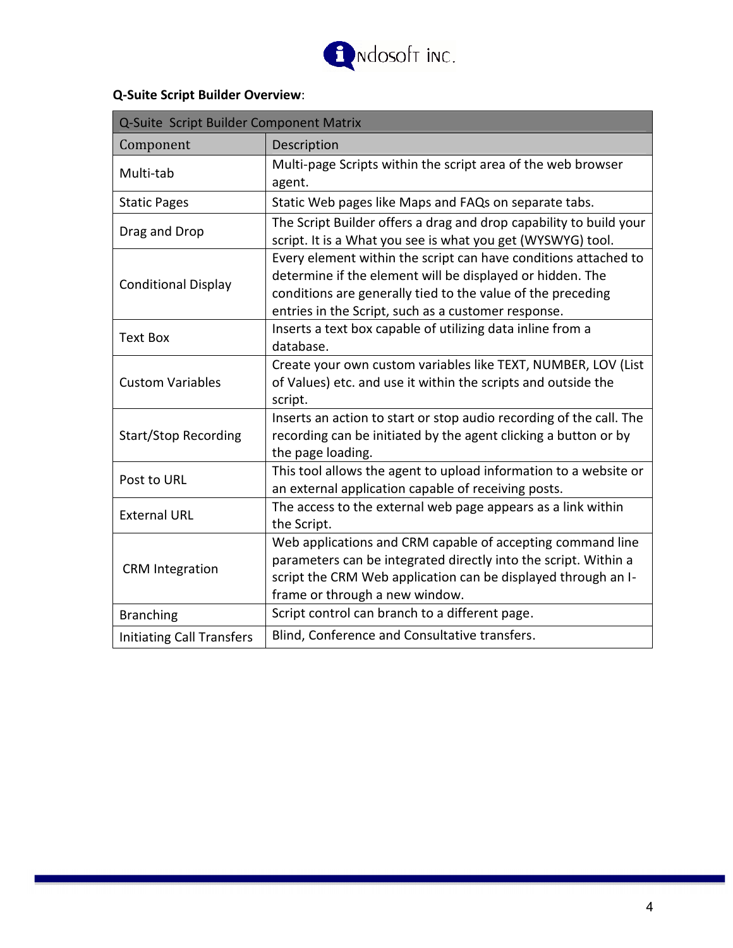

### **Q-Suite Script Builder Overview**:

| Q-Suite Script Builder Component Matrix |                                                                                                                                                                                                                                                    |
|-----------------------------------------|----------------------------------------------------------------------------------------------------------------------------------------------------------------------------------------------------------------------------------------------------|
| Component                               | Description                                                                                                                                                                                                                                        |
| Multi-tab                               | Multi-page Scripts within the script area of the web browser<br>agent.                                                                                                                                                                             |
| <b>Static Pages</b>                     | Static Web pages like Maps and FAQs on separate tabs.                                                                                                                                                                                              |
| Drag and Drop                           | The Script Builder offers a drag and drop capability to build your<br>script. It is a What you see is what you get (WYSWYG) tool.                                                                                                                  |
| <b>Conditional Display</b>              | Every element within the script can have conditions attached to<br>determine if the element will be displayed or hidden. The<br>conditions are generally tied to the value of the preceding<br>entries in the Script, such as a customer response. |
| <b>Text Box</b>                         | Inserts a text box capable of utilizing data inline from a<br>database.                                                                                                                                                                            |
| <b>Custom Variables</b>                 | Create your own custom variables like TEXT, NUMBER, LOV (List<br>of Values) etc. and use it within the scripts and outside the<br>script.                                                                                                          |
| <b>Start/Stop Recording</b>             | Inserts an action to start or stop audio recording of the call. The<br>recording can be initiated by the agent clicking a button or by<br>the page loading.                                                                                        |
| Post to URL                             | This tool allows the agent to upload information to a website or<br>an external application capable of receiving posts.                                                                                                                            |
| <b>External URL</b>                     | The access to the external web page appears as a link within<br>the Script.                                                                                                                                                                        |
| <b>CRM</b> Integration                  | Web applications and CRM capable of accepting command line<br>parameters can be integrated directly into the script. Within a<br>script the CRM Web application can be displayed through an I-<br>frame or through a new window.                   |
| <b>Branching</b>                        | Script control can branch to a different page.                                                                                                                                                                                                     |
| <b>Initiating Call Transfers</b>        | Blind, Conference and Consultative transfers.                                                                                                                                                                                                      |